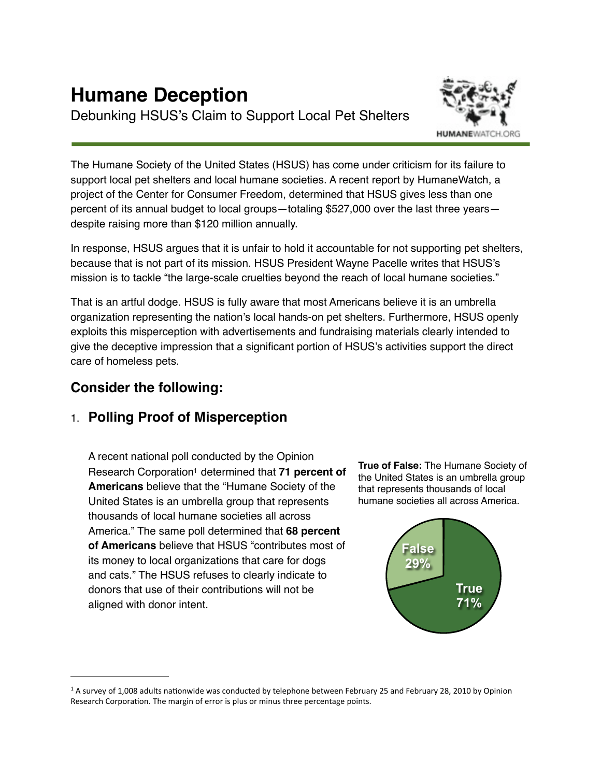# **Humane Deception**

Debunking HSUS's Claim to Support Local Pet Shelters



The Humane Society of the United States (HSUS) has come under criticism for its failure to support local pet shelters and local humane societies. A recent report by HumaneWatch, a project of the Center for Consumer Freedom, determined that HSUS gives less than one percent of its annual budget to local groups—totaling \$527,000 over the last three years despite raising more than \$120 million annually.

In response, HSUS argues that it is unfair to hold it accountable for not supporting pet shelters, because that is not part of its mission. HSUS President Wayne Pacelle writes that HSUS's mission is to tackle "the large-scale cruelties beyond the reach of local humane societies."

That is an artful dodge. HSUS is fully aware that most Americans believe it is an umbrella organization representing the nation's local hands-on pet shelters. Furthermore, HSUS openly exploits this misperception with advertisements and fundraising materials clearly intended to give the deceptive impression that a significant portion of HSUS's activities support the direct care of homeless pets.

# **Consider the following:**

# 1. **Polling Proof of Misperception**

A recent national poll conducted by the Opinion Research Corporation<sup>1</sup> determined that **71 percent of Americans** believe that the "Humane Society of the United States is an umbrella group that represents thousands of local humane societies all across America." The same poll determined that **68 percent of Americans** believe that HSUS "contributes most of its money to local organizations that care for dogs and cats." The HSUS refuses to clearly indicate to donors that use of their contributions will not be aligned with donor intent.

**True of False:** The Humane Society of the United States is an umbrella group that represents thousands of local humane societies all across America.



<span id="page-0-0"></span><sup>&</sup>lt;sup>1</sup> A survey of 1,008 adults nationwide was conducted by telephone between February 25 and February 28, 2010 by Opinion Research Corporation. The margin of error is plus or minus three percentage points.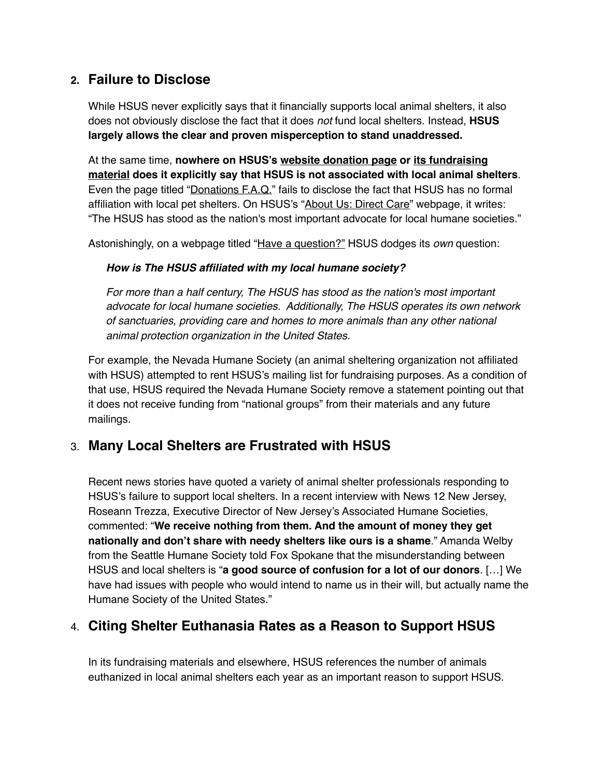## **2. Failure to Disclose**

While HSUS never explicitly says that it financially supports local animal shelters, it also does not obviously disclose the fact that it does *not* fund local shelters. Instead, **HSUS largely allows the clear and proven misperception to stand unaddressed.**

At the same time, **nowhere on HSUS's [website donation page](https://secure.humanesociety.org/site/Donation2?df_id=2320&2320.donation=form1&s_src=homepage&sub_src=toolbarbutton) or [its fundraising](http://www.humanewatch.org/index.php/documents/detail/select_hsus_fundraising_letters_from_2009_and_2010/)  [material](http://www.humanewatch.org/index.php/documents/detail/select_hsus_fundraising_letters_from_2009_and_2010/) does it explicitly say that HSUS is not associated with local animal shelters**. Even the page titled "[Donations F.A.Q.](http://www.humanesociety.org/about/contact/donations_faq.html)" fails to disclose the fact that HSUS has no formal affiliation with local pet shelters. On HSUS's "[About Us: Direct Care](http://www.humanesociety.org/animal_community/)" webpage, it writes: "The HSUS has stood as the nation's most important advocate for local humane societies."

Astonishingly, on a webpage titled "Have a question?" HSUS dodges its *own* question:

#### *How is The HSUS affiliated with my local humane society?*

*For more than a half century, The HSUS has stood as the nation's most important advocate for local humane societies. Additionally, The HSUS operates its own network of sanctuaries, providing care and homes to more animals than any other national animal protection organization in the United States.*

For example, the Nevada Humane Society (an animal sheltering organization not affiliated with HSUS) attempted to rent HSUS's mailing list for fundraising purposes. As a condition of that use, HSUS required the Nevada Humane Society remove a statement pointing out that it does not receive funding from "national groups" from their materials and any future mailings.

## 3. **Many Local Shelters are Frustrated with HSUS**

Recent news stories have quoted a variety of animal shelter professionals responding to HSUS's failure to support local shelters. In a recent interview with News 12 New Jersey, Roseann Trezza, Executive Director of New Jersey's Associated Humane Societies, commented: "**We receive nothing from them. And the amount of money they get nationally and don't share with needy shelters like ours is a shame**." Amanda Welby from the Seattle Humane Society told Fox Spokane that the misunderstanding between HSUS and local shelters is "**a good source of confusion for a lot of our donors**. […] We have had issues with people who would intend to name us in their will, but actually name the Humane Society of the United States."

## 4. **Citing Shelter Euthanasia Rates as a Reason to Support HSUS**

In its fundraising materials and elsewhere, HSUS references the number of animals euthanized in local animal shelters each year as an important reason to support HSUS.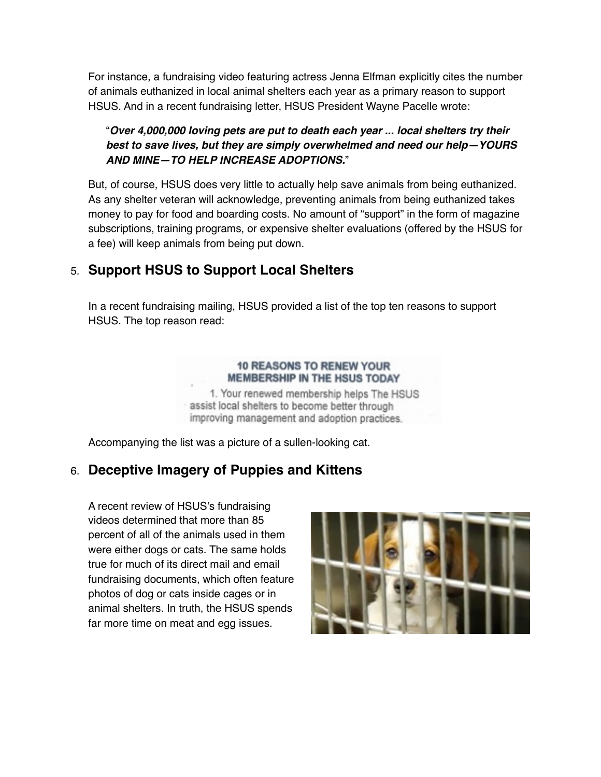For instance, a fundraising video featuring actress Jenna Elfman explicitly cites the number of animals euthanized in local animal shelters each year as a primary reason to support HSUS. And in a recent fundraising letter, HSUS President Wayne Pacelle wrote:

#### "*Over 4,000,000 loving pets are put to death each year ... local shelters try their best to save lives, but they are simply overwhelmed and need our help—YOURS AND MINE—TO HELP INCREASE ADOPTIONS.*"

But, of course, HSUS does very little to actually help save animals from being euthanized. As any shelter veteran will acknowledge, preventing animals from being euthanized takes money to pay for food and boarding costs. No amount of "support" in the form of magazine subscriptions, training programs, or expensive shelter evaluations (offered by the HSUS for a fee) will keep animals from being put down.

# 5. **Support HSUS to Support Local Shelters**

In a recent fundraising mailing, HSUS provided a list of the top ten reasons to support HSUS. The top reason read:

#### **10 REASONS TO RENEW YOUR** MEMBERSHIP IN THE HSUS TODAY

1. Your renewed membership helps The HSUS assist local shelters to become better through improving management and adoption practices.

Accompanying the list was a picture of a sullen-looking cat.

# 6. **Deceptive Imagery of Puppies and Kittens**

A recent review of HSUS's fundraising videos determined that more than 85 percent of all of the animals used in them were either dogs or cats. The same holds true for much of its direct mail and email fundraising documents, which often feature photos of dog or cats inside cages or in animal shelters. In truth, the HSUS spends far more time on meat and egg issues.